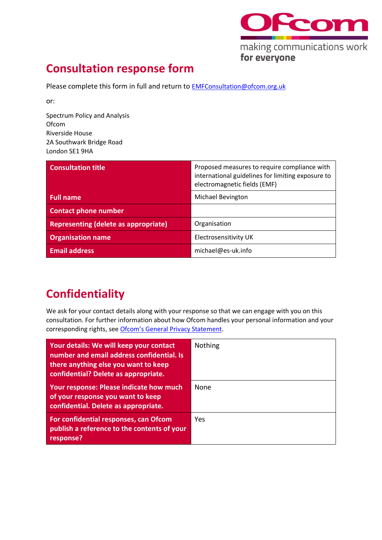

## **Consultation response form**

Please complete this form in full and return to **[EMFConsultation@ofcom.org.uk](mailto:EMFConsultation@ofcom.org.uk)** 

or:

Spectrum Policy and Analysis **Ofcom** Riverside House 2A Southwark Bridge Road London SE1 9HA

| <b>Consultation title</b>                   | Proposed measures to require compliance with<br>international guidelines for limiting exposure to<br>electromagnetic fields (EMF) |
|---------------------------------------------|-----------------------------------------------------------------------------------------------------------------------------------|
| <b>Full name</b>                            | <b>Michael Bevington</b>                                                                                                          |
| <b>Contact phone number</b>                 |                                                                                                                                   |
| <b>Representing (delete as appropriate)</b> | Organisation                                                                                                                      |
| <b>Organisation name</b>                    | Electrosensitivity UK                                                                                                             |
| <b>Email address</b>                        | michael@es-uk.info                                                                                                                |

## **Confidentiality**

We ask for your contact details along with your response so that we can engage with you on this consultation. For further information about how Ofcom handles your personal information and your corresponding rights, see [Ofcom's General Privacy Statement](http://www.ofcom.org.uk/about-ofcom/foi-dp/general-privacy-statement).

| Your details: We will keep your contact<br>number and email address confidential. Is<br>there anything else you want to keep<br>confidential? Delete as appropriate. | <b>Nothing</b> |
|----------------------------------------------------------------------------------------------------------------------------------------------------------------------|----------------|
| Your response: Please indicate how much<br>of your response you want to keep<br>confidential. Delete as appropriate.                                                 | <b>None</b>    |
| For confidential responses, can Ofcom<br>publish a reference to the contents of your<br>response?                                                                    | Yes            |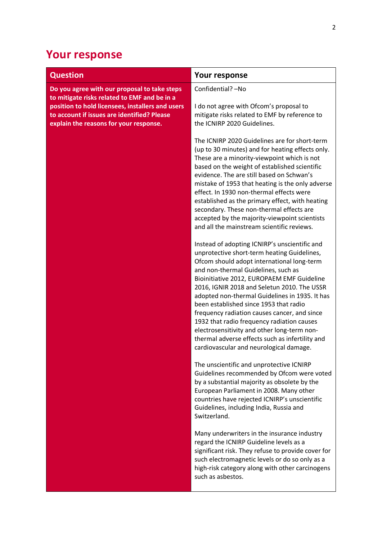## **Your response**

| <b>Question</b>                                                                                                                           | <b>Your response</b>                                                                                                                                                                                                                                                                                                                                                                                                                                                                                                                                                                                                  |
|-------------------------------------------------------------------------------------------------------------------------------------------|-----------------------------------------------------------------------------------------------------------------------------------------------------------------------------------------------------------------------------------------------------------------------------------------------------------------------------------------------------------------------------------------------------------------------------------------------------------------------------------------------------------------------------------------------------------------------------------------------------------------------|
| Do you agree with our proposal to take steps<br>to mitigate risks related to EMF and be in a                                              | Confidential? - No                                                                                                                                                                                                                                                                                                                                                                                                                                                                                                                                                                                                    |
| position to hold licensees, installers and users<br>to account if issues are identified? Please<br>explain the reasons for your response. | I do not agree with Ofcom's proposal to<br>mitigate risks related to EMF by reference to<br>the ICNIRP 2020 Guidelines.                                                                                                                                                                                                                                                                                                                                                                                                                                                                                               |
|                                                                                                                                           | The ICNIRP 2020 Guidelines are for short-term<br>(up to 30 minutes) and for heating effects only.<br>These are a minority-viewpoint which is not<br>based on the weight of established scientific<br>evidence. The are still based on Schwan's<br>mistake of 1953 that heating is the only adverse<br>effect. In 1930 non-thermal effects were<br>established as the primary effect, with heating<br>secondary. These non-thermal effects are<br>accepted by the majority-viewpoint scientists<br>and all the mainstream scientific reviews.                                                                          |
|                                                                                                                                           | Instead of adopting ICNIRP's unscientific and<br>unprotective short-term heating Guidelines,<br>Ofcom should adopt international long-term<br>and non-thermal Guidelines, such as<br>Bioinitiative 2012, EUROPAEM EMF Guideline<br>2016, IGNIR 2018 and Seletun 2010. The USSR<br>adopted non-thermal Guidelines in 1935. It has<br>been established since 1953 that radio<br>frequency radiation causes cancer, and since<br>1932 that radio frequency radiation causes<br>electrosensitivity and other long-term non-<br>thermal adverse effects such as infertility and<br>cardiovascular and neurological damage. |
|                                                                                                                                           | The unscientific and unprotective ICNIRP<br>Guidelines recommended by Ofcom were voted<br>by a substantial majority as obsolete by the<br>European Parliament in 2008. Many other<br>countries have rejected ICNIRP's unscientific<br>Guidelines, including India, Russia and<br>Switzerland.                                                                                                                                                                                                                                                                                                                         |
|                                                                                                                                           | Many underwriters in the insurance industry<br>regard the ICNIRP Guideline levels as a<br>significant risk. They refuse to provide cover for<br>such electromagnetic levels or do so only as a<br>high-risk category along with other carcinogens<br>such as asbestos.                                                                                                                                                                                                                                                                                                                                                |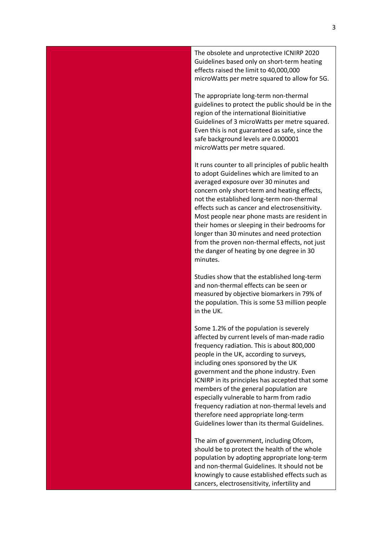The obsolete and unprotective ICNIRP 2020 Guidelines based only on short-term heating effects raised the limit to 40,000,000 microWatts per metre squared to allow for 5G.

The appropriate long-term non-thermal guidelines to protect the public should be in the region of the international Bioinitiative Guidelines of 3 microWatts per metre squared. Even this is not guaranteed as safe, since the safe background levels are 0.000001 microWatts per metre squared.

It runs counter to all principles of public health to adopt Guidelines which are limited to an averaged exposure over 30 minutes and concern only short-term and heating effects, not the established long-term non-thermal effects such as cancer and electrosensitivity. Most people near phone masts are resident in their homes or sleeping in their bedrooms for longer than 30 minutes and need protection from the proven non-thermal effects, not just the danger of heating by one degree in 30 minutes.

Studies show that the established long-term and non-thermal effects can be seen or measured by objective biomarkers in 79% of the population. This is some 53 million people in the UK.

Some 1.2% of the population is severely affected by current levels of man-made radio frequency radiation. This is about 800,000 people in the UK, according to surveys, including ones sponsored by the UK government and the phone industry. Even ICNIRP in its principles has accepted that some members of the general population are especially vulnerable to harm from radio frequency radiation at non-thermal levels and therefore need appropriate long-term Guidelines lower than its thermal Guidelines.

The aim of government, including Ofcom, should be to protect the health of the whole population by adopting appropriate long-term and non-thermal Guidelines. It should not be knowingly to cause established effects such as cancers, electrosensitivity, infertility and